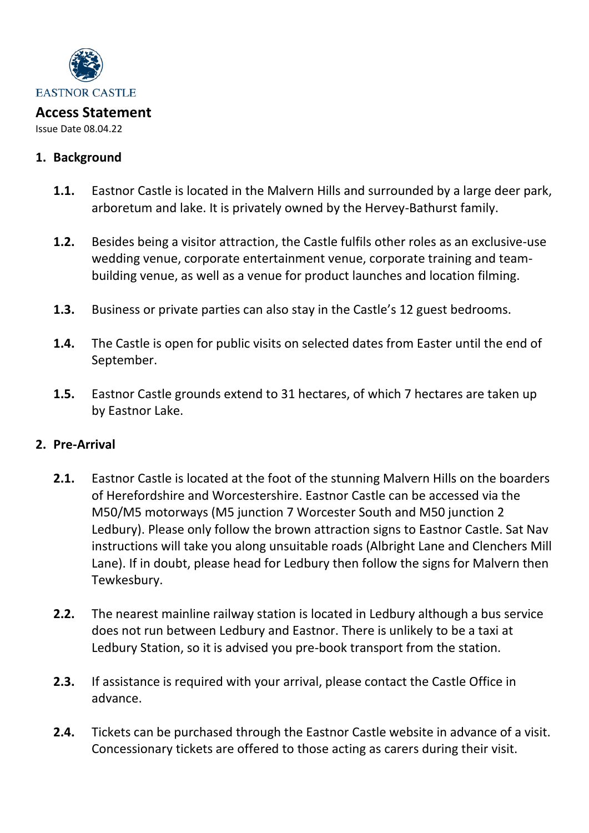

Issue Date 08.04.22

#### **1. Background**

- **1.1.** Eastnor Castle is located in the Malvern Hills and surrounded by a large deer park, arboretum and lake. It is privately owned by the Hervey-Bathurst family.
- **1.2.** Besides being a visitor attraction, the Castle fulfils other roles as an exclusive-use wedding venue, corporate entertainment venue, corporate training and teambuilding venue, as well as a venue for product launches and location filming.
- **1.3.** Business or private parties can also stay in the Castle's 12 guest bedrooms.
- **1.4.** The Castle is open for public visits on selected dates from Easter until the end of September.
- **1.5.** Eastnor Castle grounds extend to 31 hectares, of which 7 hectares are taken up by Eastnor Lake.

# **2. Pre-Arrival**

- **2.1.** Eastnor Castle is located at the foot of the stunning Malvern Hills on the boarders of Herefordshire and Worcestershire. Eastnor Castle can be accessed via the M50/M5 motorways (M5 junction 7 Worcester South and M50 junction 2 Ledbury). Please only follow the brown attraction signs to Eastnor Castle. Sat Nav instructions will take you along unsuitable roads (Albright Lane and Clenchers Mill Lane). If in doubt, please head for Ledbury then follow the signs for Malvern then Tewkesbury.
- **2.2.** The nearest mainline railway station is located in Ledbury although a bus service does not run between Ledbury and Eastnor. There is unlikely to be a taxi at Ledbury Station, so it is advised you pre-book transport from the station.
- **2.3.** If assistance is required with your arrival, please contact the Castle Office in advance.
- **2.4.** Tickets can be purchased through the Eastnor Castle website in advance of a visit. Concessionary tickets are offered to those acting as carers during their visit.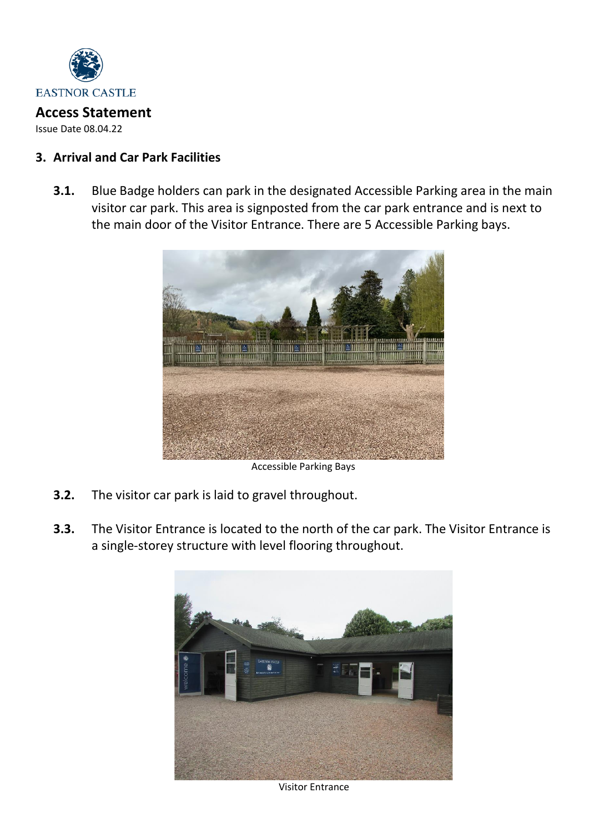

Issue Date 08.04.22

## **3. Arrival and Car Park Facilities**

**3.1.** Blue Badge holders can park in the designated Accessible Parking area in the main visitor car park. This area is signposted from the car park entrance and is next to the main door of the Visitor Entrance. There are 5 Accessible Parking bays.



Accessible Parking Bays

- **3.2.** The visitor car park is laid to gravel throughout.
- **3.3.** The Visitor Entrance is located to the north of the car park. The Visitor Entrance is a single-storey structure with level flooring throughout.



Visitor Entrance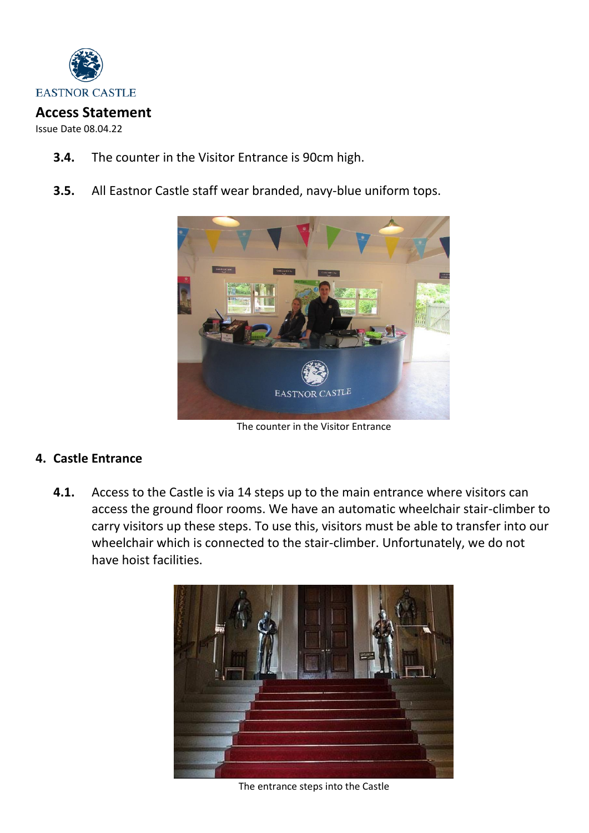

Issue Date 08.04.22

- **3.4.** The counter in the Visitor Entrance is 90cm high.
- **3.5.** All Eastnor Castle staff wear branded, navy-blue uniform tops.



The counter in the Visitor Entrance

# **4. Castle Entrance**

**4.1.** Access to the Castle is via 14 steps up to the main entrance where visitors can access the ground floor rooms. We have an automatic wheelchair stair-climber to carry visitors up these steps. To use this, visitors must be able to transfer into our wheelchair which is connected to the stair-climber. Unfortunately, we do not have hoist facilities.



The entrance steps into the Castle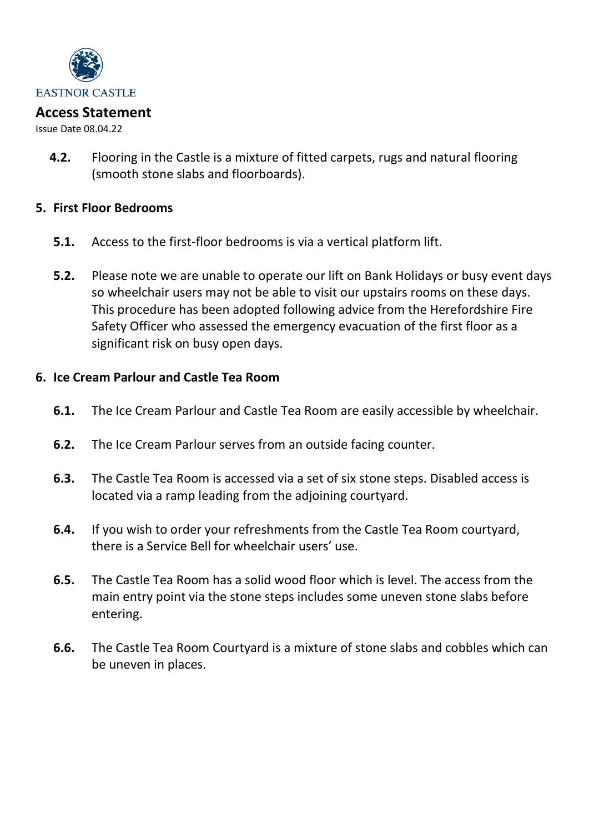

Issue Date 08.04.22

**4.2.** Flooring in the Castle is a mixture of fitted carpets, rugs and natural flooring (smooth stone slabs and floorboards).

#### **5. First Floor Bedrooms**

- **5.1.** Access to the first-floor bedrooms is via a vertical platform lift.
- **5.2.** Please note we are unable to operate our lift on Bank Holidays or busy event days so wheelchair users may not be able to visit our upstairs rooms on these days. This procedure has been adopted following advice from the Herefordshire Fire Safety Officer who assessed the emergency evacuation of the first floor as a significant risk on busy open days.

### **6. Ice Cream Parlour and Castle Tea Room**

- **6.1.** The Ice Cream Parlour and Castle Tea Room are easily accessible by wheelchair.
- **6.2.** The Ice Cream Parlour serves from an outside facing counter.
- **6.3.** The Castle Tea Room is accessed via a set of six stone steps. Disabled access is located via a ramp leading from the adjoining courtyard.
- **6.4.** If you wish to order your refreshments from the Castle Tea Room courtyard, there is a Service Bell for wheelchair users' use.
- **6.5.** The Castle Tea Room has a solid wood floor which is level. The access from the main entry point via the stone steps includes some uneven stone slabs before entering.
- **6.6.** The Castle Tea Room Courtyard is a mixture of stone slabs and cobbles which can be uneven in places.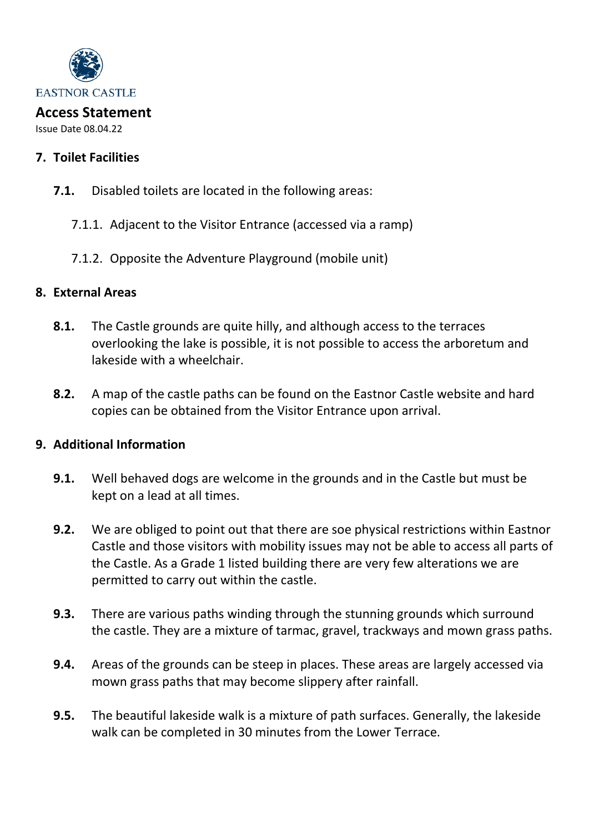

#### **Access Statement** Issue Date 08.04.22

# **7. Toilet Facilities**

- **7.1.** Disabled toilets are located in the following areas:
	- 7.1.1. Adjacent to the Visitor Entrance (accessed via a ramp)
	- 7.1.2. Opposite the Adventure Playground (mobile unit)

# **8. External Areas**

- **8.1.** The Castle grounds are quite hilly, and although access to the terraces overlooking the lake is possible, it is not possible to access the arboretum and lakeside with a wheelchair.
- **8.2.** A map of the castle paths can be found on the Eastnor Castle website and hard copies can be obtained from the Visitor Entrance upon arrival.

# **9. Additional Information**

- **9.1.** Well behaved dogs are welcome in the grounds and in the Castle but must be kept on a lead at all times.
- **9.2.** We are obliged to point out that there are soe physical restrictions within Eastnor Castle and those visitors with mobility issues may not be able to access all parts of the Castle. As a Grade 1 listed building there are very few alterations we are permitted to carry out within the castle.
- **9.3.** There are various paths winding through the stunning grounds which surround the castle. They are a mixture of tarmac, gravel, trackways and mown grass paths.
- **9.4.** Areas of the grounds can be steep in places. These areas are largely accessed via mown grass paths that may become slippery after rainfall.
- **9.5.** The beautiful lakeside walk is a mixture of path surfaces. Generally, the lakeside walk can be completed in 30 minutes from the Lower Terrace.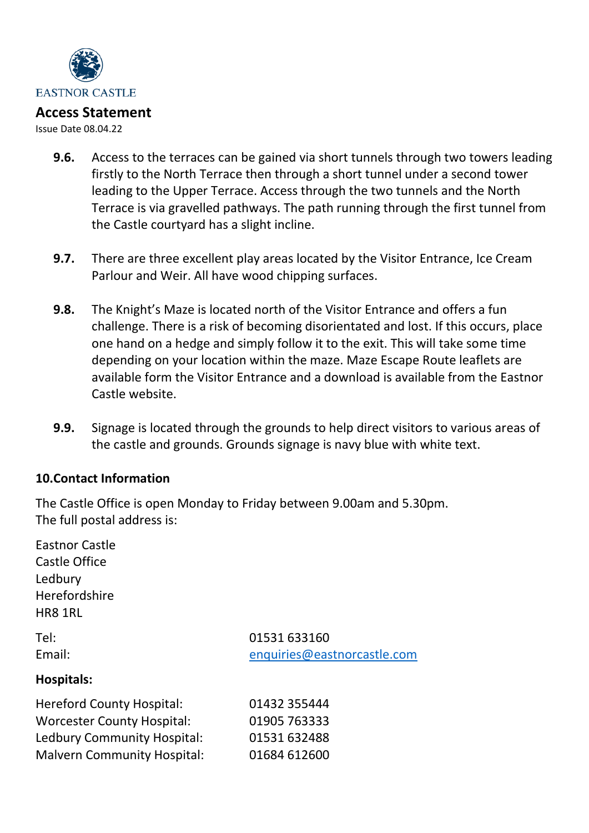

Issue Date 08.04.22

- **9.6.** Access to the terraces can be gained via short tunnels through two towers leading firstly to the North Terrace then through a short tunnel under a second tower leading to the Upper Terrace. Access through the two tunnels and the North Terrace is via gravelled pathways. The path running through the first tunnel from the Castle courtyard has a slight incline.
- **9.7.** There are three excellent play areas located by the Visitor Entrance, Ice Cream Parlour and Weir. All have wood chipping surfaces.
- **9.8.** The Knight's Maze is located north of the Visitor Entrance and offers a fun challenge. There is a risk of becoming disorientated and lost. If this occurs, place one hand on a hedge and simply follow it to the exit. This will take some time depending on your location within the maze. Maze Escape Route leaflets are available form the Visitor Entrance and a download is available from the Eastnor Castle website.
- **9.9.** Signage is located through the grounds to help direct visitors to various areas of the castle and grounds. Grounds signage is navy blue with white text.

#### **10.Contact Information**

The Castle Office is open Monday to Friday between 9.00am and 5.30pm. The full postal address is:

| <b>Eastnor Castle</b><br>Castle Office<br>Ledbury<br>Herefordshire<br>HR8 1RL |                             |
|-------------------------------------------------------------------------------|-----------------------------|
| Tel:                                                                          | 01531 633160                |
| Email:                                                                        | enquiries@eastnorcastle.com |
| Hospitals:                                                                    |                             |
| <b>Hereford County Hospital:</b>                                              | 01432 355444                |
| <b>Worcester County Hospital:</b>                                             | 01905 763333                |
| <b>Ledbury Community Hospital:</b>                                            | 01531 632488                |
| <b>Malvern Community Hospital:</b>                                            | 01684 612600                |